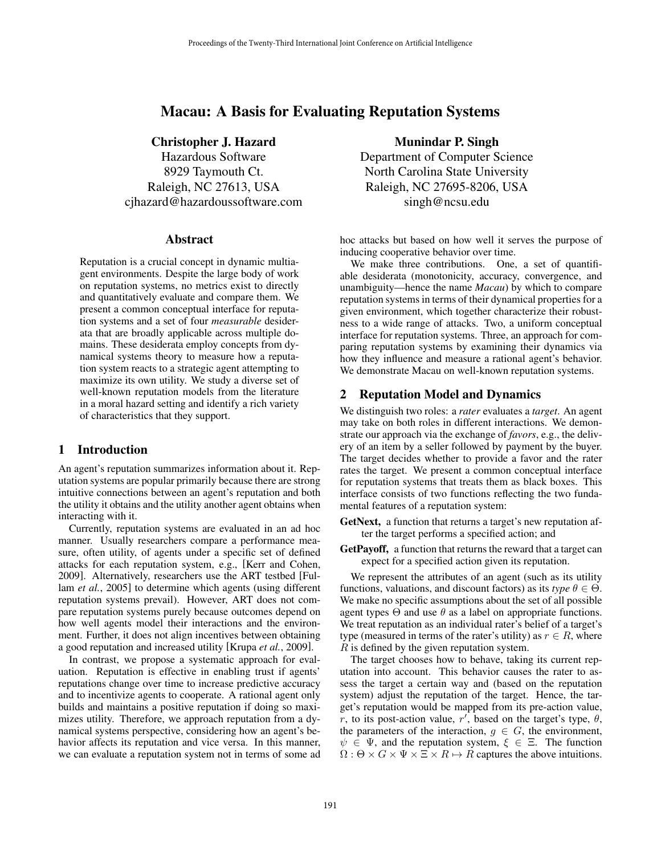# Macau: A Basis for Evaluating Reputation Systems

# Christopher J. Hazard

Hazardous Software 8929 Taymouth Ct. Raleigh, NC 27613, USA cjhazard@hazardoussoftware.com

## Abstract

Reputation is a crucial concept in dynamic multiagent environments. Despite the large body of work on reputation systems, no metrics exist to directly and quantitatively evaluate and compare them. We present a common conceptual interface for reputation systems and a set of four *measurable* desiderata that are broadly applicable across multiple domains. These desiderata employ concepts from dynamical systems theory to measure how a reputation system reacts to a strategic agent attempting to maximize its own utility. We study a diverse set of well-known reputation models from the literature in a moral hazard setting and identify a rich variety of characteristics that they support.

## 1 Introduction

An agent's reputation summarizes information about it. Reputation systems are popular primarily because there are strong intuitive connections between an agent's reputation and both the utility it obtains and the utility another agent obtains when interacting with it.

Currently, reputation systems are evaluated in an ad hoc manner. Usually researchers compare a performance measure, often utility, of agents under a specific set of defined attacks for each reputation system, e.g., [Kerr and Cohen, 2009]. Alternatively, researchers use the ART testbed [Fullam *et al.*, 2005] to determine which agents (using different reputation systems prevail). However, ART does not compare reputation systems purely because outcomes depend on how well agents model their interactions and the environment. Further, it does not align incentives between obtaining a good reputation and increased utility [Krupa *et al.*, 2009].

In contrast, we propose a systematic approach for evaluation. Reputation is effective in enabling trust if agents' reputations change over time to increase predictive accuracy and to incentivize agents to cooperate. A rational agent only builds and maintains a positive reputation if doing so maximizes utility. Therefore, we approach reputation from a dynamical systems perspective, considering how an agent's behavior affects its reputation and vice versa. In this manner, we can evaluate a reputation system not in terms of some ad

# Munindar P. Singh

Department of Computer Science North Carolina State University Raleigh, NC 27695-8206, USA singh@ncsu.edu

hoc attacks but based on how well it serves the purpose of inducing cooperative behavior over time.

We make three contributions. One, a set of quantifiable desiderata (monotonicity, accuracy, convergence, and unambiguity—hence the name *Macau*) by which to compare reputation systems in terms of their dynamical properties for a given environment, which together characterize their robustness to a wide range of attacks. Two, a uniform conceptual interface for reputation systems. Three, an approach for comparing reputation systems by examining their dynamics via how they influence and measure a rational agent's behavior. We demonstrate Macau on well-known reputation systems.

### 2 Reputation Model and Dynamics

We distinguish two roles: a *rater* evaluates a *target*. An agent may take on both roles in different interactions. We demonstrate our approach via the exchange of *favors*, e.g., the delivery of an item by a seller followed by payment by the buyer. The target decides whether to provide a favor and the rater rates the target. We present a common conceptual interface for reputation systems that treats them as black boxes. This interface consists of two functions reflecting the two fundamental features of a reputation system:

GetNext, a function that returns a target's new reputation after the target performs a specified action; and

GetPayoff, a function that returns the reward that a target can expect for a specified action given its reputation.

We represent the attributes of an agent (such as its utility functions, valuations, and discount factors) as its *type*  $\theta \in \Theta$ . We make no specific assumptions about the set of all possible agent types  $\Theta$  and use  $\theta$  as a label on appropriate functions. We treat reputation as an individual rater's belief of a target's type (measured in terms of the rater's utility) as  $r \in R$ , where R is defined by the given reputation system.

The target chooses how to behave, taking its current reputation into account. This behavior causes the rater to assess the target a certain way and (based on the reputation system) adjust the reputation of the target. Hence, the target's reputation would be mapped from its pre-action value, r, to its post-action value,  $r'$ , based on the target's type,  $\theta$ , the parameters of the interaction,  $g \in G$ , the environment,  $\psi \in \Psi$ , and the reputation system,  $\xi \in \Xi$ . The function  $\Omega$  :  $\Theta \times G \times \Psi \times \Xi \times R \mapsto R$  captures the above intuitions.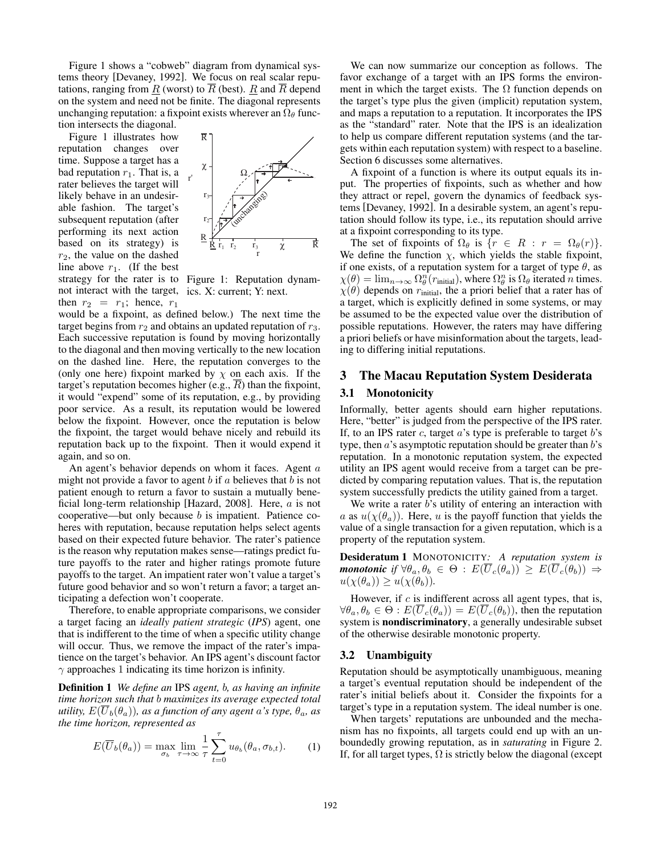Figure 1 shows a "cobweb" diagram from dynamical systems theory [Devaney, 1992]. We focus on real scalar reputations, ranging from  $\underline{R}$  (worst) to  $\overline{R}$  (best).  $\underline{R}$  and  $\overline{R}$  depend on the system and need not be finite. The diagonal represents unchanging reputation: a fixpoint exists wherever an  $\Omega_{\theta}$  function intersects the diagonal.

strategy for the rater is to Figure 1: Reputation dynamnot interact with the target, ics. X: current; Y: next. Figure 1 illustrates how reputation changes over time. Suppose a target has a bad reputation  $r_1$ . That is, a rater believes the target will likely behave in an undesirable fashion. The target's subsequent reputation (after performing its next action based on its strategy) is  $r_2$ , the value on the dashed line above  $r_1$ . (If the best then  $r_2 = r_1$ ; hence,  $r_1$ 



would be a fixpoint, as defined below.) The next time the target begins from  $r_2$  and obtains an updated reputation of  $r_3$ . Each successive reputation is found by moving horizontally to the diagonal and then moving vertically to the new location on the dashed line. Here, the reputation converges to the (only one here) fixpoint marked by  $\chi$  on each axis. If the target's reputation becomes higher (e.g.,  $\overline{R}$ ) than the fixpoint, it would "expend" some of its reputation, e.g., by providing poor service. As a result, its reputation would be lowered below the fixpoint. However, once the reputation is below the fixpoint, the target would behave nicely and rebuild its reputation back up to the fixpoint. Then it would expend it again, and so on.

An agent's behavior depends on whom it faces. Agent a might not provide a favor to agent  $b$  if  $a$  believes that  $b$  is not patient enough to return a favor to sustain a mutually beneficial long-term relationship [Hazard, 2008]. Here,  $a$  is not cooperative—but only because b is impatient. Patience coheres with reputation, because reputation helps select agents based on their expected future behavior. The rater's patience is the reason why reputation makes sense—ratings predict future payoffs to the rater and higher ratings promote future payoffs to the target. An impatient rater won't value a target's future good behavior and so won't return a favor; a target anticipating a defection won't cooperate.

Therefore, to enable appropriate comparisons, we consider a target facing an *ideally patient strategic* (*IPS*) agent, one that is indifferent to the time of when a specific utility change will occur. Thus, we remove the impact of the rater's impatience on the target's behavior. An IPS agent's discount factor  $\gamma$  approaches 1 indicating its time horizon is infinity.

Definition 1 *We define an* IPS *agent,* b*, as having an infinite time horizon such that* b *maximizes its average expected total utility,*  $E(\overline{U}_b(\theta_a))$ *, as a function of any agent a's type,*  $\theta_a$ *, as the time horizon, represented as*

$$
E(\overline{U}_b(\theta_a)) = \max_{\sigma_b} \lim_{\tau \to \infty} \frac{1}{\tau} \sum_{t=0}^{\tau} u_{\theta_b}(\theta_a, \sigma_{b,t}). \tag{1}
$$

We can now summarize our conception as follows. The favor exchange of a target with an IPS forms the environment in which the target exists. The  $\Omega$  function depends on the target's type plus the given (implicit) reputation system, and maps a reputation to a reputation. It incorporates the IPS as the "standard" rater. Note that the IPS is an idealization to help us compare different reputation systems (and the targets within each reputation system) with respect to a baseline. Section 6 discusses some alternatives.

A fixpoint of a function is where its output equals its input. The properties of fixpoints, such as whether and how they attract or repel, govern the dynamics of feedback systems [Devaney, 1992]. In a desirable system, an agent's reputation should follow its type, i.e., its reputation should arrive at a fixpoint corresponding to its type.

The set of fixpoints of  $\Omega_{\theta}$  is  $\{r \in R : r = \Omega_{\theta}(r)\}.$ We define the function  $\chi$ , which yields the stable fixpoint, if one exists, of a reputation system for a target of type  $\theta$ , as  $\chi(\theta) = \lim_{n \to \infty} \Omega_{\theta}^{n}(r_{\text{initial}}),$  where  $\Omega_{\theta}^{n}$  is  $\Omega_{\theta}$  iterated *n* times.  $\chi(\theta)$  depends on r<sub>initial</sub>, the a priori belief that a rater has of a target, which is explicitly defined in some systems, or may be assumed to be the expected value over the distribution of possible reputations. However, the raters may have differing a priori beliefs or have misinformation about the targets, leading to differing initial reputations.

## 3 The Macau Reputation System Desiderata

# 3.1 Monotonicity

Informally, better agents should earn higher reputations. Here, "better" is judged from the perspective of the IPS rater. If, to an IPS rater c, target  $a$ 's type is preferable to target  $b$ 's type, then  $a$ 's asymptotic reputation should be greater than  $b$ 's reputation. In a monotonic reputation system, the expected utility an IPS agent would receive from a target can be predicted by comparing reputation values. That is, the reputation system successfully predicts the utility gained from a target.

We write a rater b's utility of entering an interaction with a as  $u(\chi(\theta_a))$ . Here, u is the payoff function that yields the value of a single transaction for a given reputation, which is a property of the reputation system.

Desideratum 1 MONOTONICITY*: A reputation system is monotonic if*  $\forall \theta_a, \theta_b \in \Theta$  :  $E(\overline{U}_c(\theta_a)) \geq E(\overline{U}_c(\theta_b)) \Rightarrow$  $u(\chi(\theta_a)) \geq u(\chi(\theta_b)).$ 

However, if  $c$  is indifferent across all agent types, that is,  $\forall \theta_a, \theta_b \in \Theta : E(\overline{U}_c(\theta_a)) = E(\overline{U}_c(\theta_b))$ , then the reputation system is nondiscriminatory, a generally undesirable subset of the otherwise desirable monotonic property.

#### 3.2 Unambiguity

Reputation should be asymptotically unambiguous, meaning a target's eventual reputation should be independent of the rater's initial beliefs about it. Consider the fixpoints for a target's type in a reputation system. The ideal number is one.

When targets' reputations are unbounded and the mechanism has no fixpoints, all targets could end up with an unboundedly growing reputation, as in *saturating* in Figure 2. If, for all target types,  $\Omega$  is strictly below the diagonal (except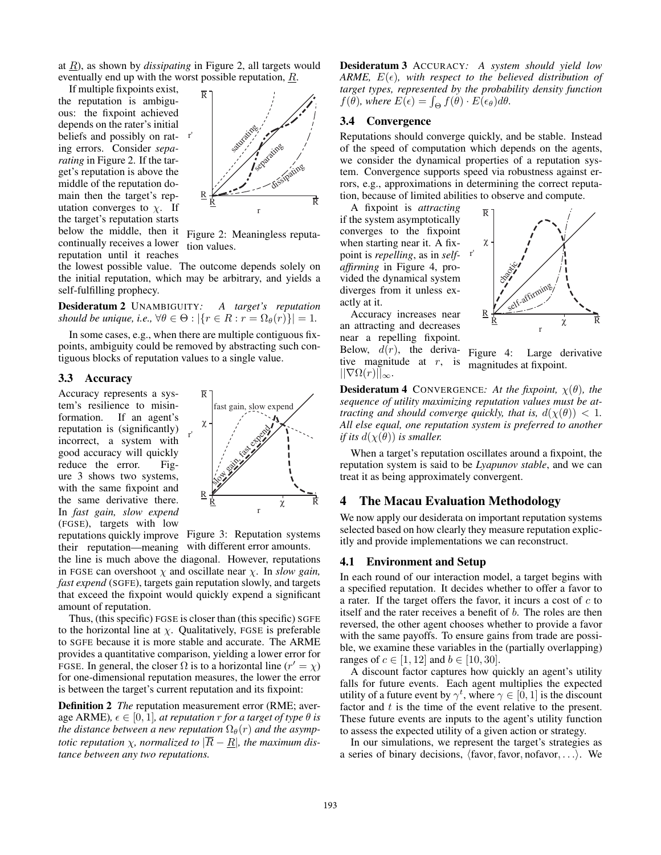at R), as shown by *dissipating* in Figure 2, all targets would eventually end up with the worst possible reputation,  $R$ .

If multiple fixpoints exist, the reputation is ambiguous: the fixpoint achieved depends on the rater's initial beliefs and possibly on rating errors. Consider *separating* in Figure 2. If the target's reputation is above the middle of the reputation domain then the target's reputation converges to  $\chi$ . If the target's reputation starts below the middle, then it continually receives a lower reputation until it reaches



Figure 2: Meaningless reputation values.

the lowest possible value. The outcome depends solely on the initial reputation, which may be arbitrary, and yields a self-fulfilling prophecy.

Desideratum 2 UNAMBIGUITY*: A target's reputation should be unique, i.e.,*  $\forall \theta \in \Theta : |\{r \in R : r = \Omega_{\theta}(r)\}| = 1$ .

In some cases, e.g., when there are multiple contiguous fixpoints, ambiguity could be removed by abstracting such contiguous blocks of reputation values to a single value.

### 3.3 Accuracy

Accuracy represents a system's resilience to misinformation. If an agent's reputation is (significantly) incorrect, a system with good accuracy will quickly reduce the error. Figure 3 shows two systems, with the same fixpoint and the same derivative there. In *fast gain, slow expend* (FGSE), targets with low



reputations quickly improve Figure 3: Reputation systems their reputation—meaning with different error amounts.

the line is much above the diagonal. However, reputations in FGSE can overshoot  $\chi$  and oscillate near  $\chi$ . In *slow gain*, *fast expend* (SGFE), targets gain reputation slowly, and targets that exceed the fixpoint would quickly expend a significant amount of reputation.

Thus, (this specific) FGSE is closer than (this specific) SGFE to the horizontal line at  $\chi$ . Qualitatively, FGSE is preferable to SGFE because it is more stable and accurate. The ARME provides a quantitative comparison, yielding a lower error for FGSE. In general, the closer  $\Omega$  is to a horizontal line  $(r' = \chi)$ for one-dimensional reputation measures, the lower the error is between the target's current reputation and its fixpoint:

Definition 2 *The* reputation measurement error (RME; average ARME),  $\epsilon \in [0, 1]$ *, at reputation r for a target of type*  $\theta$  *is the distance between a new reputation*  $\Omega_{\theta}(r)$  *and the asymptotic reputation*  $\chi$ , *normalized to*  $|\overline{R} - R|$ , *the maximum distance between any two reputations.*

Desideratum 3 ACCURACY*: A system should yield low ARME,*  $E(\epsilon)$ *, with respect to the believed distribution of target types, represented by the probability density function*  $f(\theta)$ *, where*  $E(\epsilon) = \int_{\Theta} f(\theta) \cdot E(\epsilon_{\theta}) d\theta$ *.* 

## 3.4 Convergence

Reputations should converge quickly, and be stable. Instead of the speed of computation which depends on the agents, we consider the dynamical properties of a reputation system. Convergence supports speed via robustness against errors, e.g., approximations in determining the correct reputation, because of limited abilities to observe and compute.

R

point is *repelling*, as in *self-* <sup>r'</sup> A fixpoint is *attracting* if the system asymptotically converges to the fixpoint when starting near it. A fix*affirming* in Figure 4, provided the dynamical system diverges from it unless exactly at it.



Accuracy increases near an attracting and decreases near a repelling fixpoint. Below,  $d(r)$ , the derivative magnitude at  $r$ , is  $||\nabla\Omega(r)||_{\infty}$ .

Figure 4: Large derivative magnitudes at fixpoint.

**Desideratum 4** CONVERGENCE: At the fixpoint,  $\chi(\theta)$ , the *sequence of utility maximizing reputation values must be attracting and should converge quickly, that is,*  $d(\chi(\theta)) < 1$ . *All else equal, one reputation system is preferred to another if its*  $d(\chi(\theta))$  *is smaller.* 

When a target's reputation oscillates around a fixpoint, the reputation system is said to be *Lyapunov stable*, and we can treat it as being approximately convergent.

#### 4 The Macau Evaluation Methodology

We now apply our desiderata on important reputation systems selected based on how clearly they measure reputation explicitly and provide implementations we can reconstruct.

# 4.1 Environment and Setup

In each round of our interaction model, a target begins with a specified reputation. It decides whether to offer a favor to a rater. If the target offers the favor, it incurs a cost of  $c$  to itself and the rater receives a benefit of b. The roles are then reversed, the other agent chooses whether to provide a favor with the same payoffs. To ensure gains from trade are possible, we examine these variables in the (partially overlapping) ranges of *c* ∈ [1, 12] and *b* ∈ [10, 30].

A discount factor captures how quickly an agent's utility falls for future events. Each agent multiplies the expected utility of a future event by  $\gamma^t$ , where  $\gamma \in [0, 1]$  is the discount factor and  $t$  is the time of the event relative to the present. These future events are inputs to the agent's utility function to assess the expected utility of a given action or strategy.

In our simulations, we represent the target's strategies as a series of binary decisions,  $\langle$  favor, favor, nofavor, ... $\rangle$ . We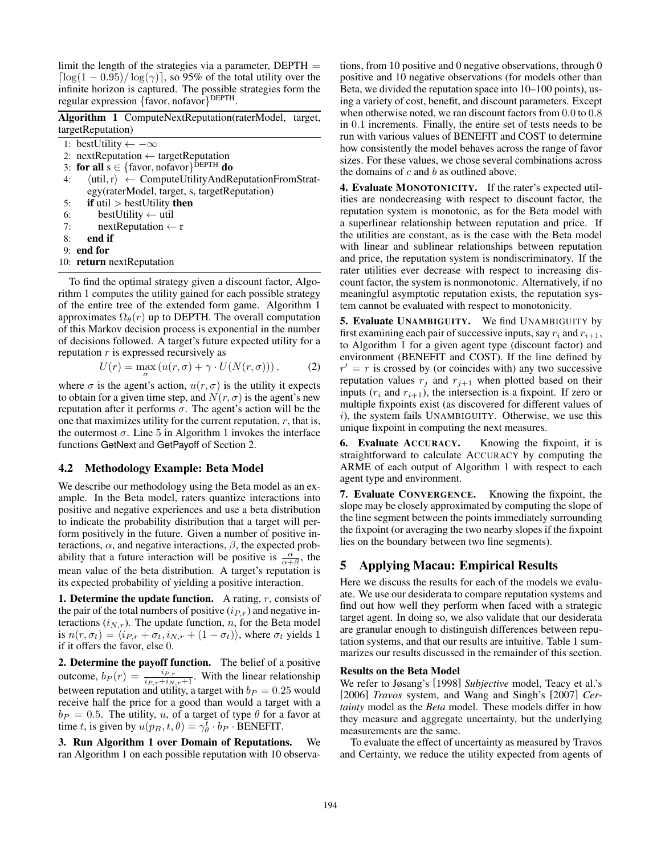limit the length of the strategies via a parameter,  $DEPTH =$  $\lceil \log(1 - 0.95)/ \log(\gamma) \rceil$ , so 95% of the total utility over the infinite horizon is captured. The possible strategies form the regular expression {favor, nofavor} DEPTH.

Algorithm 1 ComputeNextReputation(raterModel, target, targetReputation)

1: bestUtility  $\leftarrow -\infty$ 

- 2: nextReputation ← targetReputation
- 3: for all  $s \in \{\text{favor}, \text{nofavor}\}^{\text{DEFH}}$  do
- 4:  $\langle \text{util}, \text{r} \rangle \leftarrow \text{ComputeUtilityAndReputationFromStrat}$ egy(raterModel, target, s, targetReputation)
- 5: if  $util > bestUtility$  then
- 6: bestUtility  $\leftarrow$  util
- 7: nextReputation  $\leftarrow$  r
- 8: end if
- 9: end for
- 10: return nextReputation

To find the optimal strategy given a discount factor, Algorithm 1 computes the utility gained for each possible strategy of the entire tree of the extended form game. Algorithm 1 approximates  $\Omega_{\theta}(r)$  up to DEPTH. The overall computation of this Markov decision process is exponential in the number of decisions followed. A target's future expected utility for a reputation r is expressed recursively as

$$
U(r) = \max_{\sigma} \left( u(r, \sigma) + \gamma \cdot U(N(r, \sigma)) \right), \tag{2}
$$

where  $\sigma$  is the agent's action,  $u(r, \sigma)$  is the utility it expects to obtain for a given time step, and  $N(r, \sigma)$  is the agent's new reputation after it performs  $\sigma$ . The agent's action will be the one that maximizes utility for the current reputation,  $r$ , that is, the outermost  $\sigma$ . Line 5 in Algorithm 1 invokes the interface functions GetNext and GetPayoff of Section 2.

# 4.2 Methodology Example: Beta Model

We describe our methodology using the Beta model as an example. In the Beta model, raters quantize interactions into positive and negative experiences and use a beta distribution to indicate the probability distribution that a target will perform positively in the future. Given a number of positive interactions,  $\alpha$ , and negative interactions,  $\beta$ , the expected probability that a future interaction will be positive is  $\frac{\alpha}{\alpha+\beta}$ , the mean value of the beta distribution. A target's reputation is its expected probability of yielding a positive interaction.

**1. Determine the update function.** A rating,  $r$ , consists of the pair of the total numbers of positive  $(i_{P,r})$  and negative interactions  $(i_{N,r})$ . The update function, n, for the Beta model is  $n(r, \sigma_t) = \langle i_{P,r} + \sigma_t, i_{N,r} + (1 - \sigma_t) \rangle$ , where  $\sigma_t$  yields 1 if it offers the favor, else 0.

2. Determine the payoff function. The belief of a positive outcome,  $b_P(r) = \frac{i_{P,r}}{i_{P,r} + i_{N,r} + 1}$ . With the linear relationship between reputation and utility, a target with  $b_P = 0.25$  would receive half the price for a good than would a target with a  $b_P = 0.5$ . The utility, u, of a target of type  $\theta$  for a favor at time t, is given by  $u(p_B, t, \theta) = \gamma_{\theta}^{\overline{t}} \cdot b_P \cdot \overline{\text{BENEFIT}}$ .

3. Run Algorithm 1 over Domain of Reputations. We ran Algorithm 1 on each possible reputation with 10 observations, from 10 positive and 0 negative observations, through 0 positive and 10 negative observations (for models other than Beta, we divided the reputation space into 10–100 points), using a variety of cost, benefit, and discount parameters. Except when otherwise noted, we ran discount factors from 0.0 to 0.8 in 0.1 increments. Finally, the entire set of tests needs to be run with various values of BENEFIT and COST to determine how consistently the model behaves across the range of favor sizes. For these values, we chose several combinations across the domains of  $c$  and  $b$  as outlined above.

4. Evaluate MONOTONICITY. If the rater's expected utilities are nondecreasing with respect to discount factor, the reputation system is monotonic, as for the Beta model with a superlinear relationship between reputation and price. If the utilities are constant, as is the case with the Beta model with linear and sublinear relationships between reputation and price, the reputation system is nondiscriminatory. If the rater utilities ever decrease with respect to increasing discount factor, the system is nonmonotonic. Alternatively, if no meaningful asymptotic reputation exists, the reputation system cannot be evaluated with respect to monotonicity.

5. Evaluate UNAMBIGUITY. We find UNAMBIGUITY by first examining each pair of successive inputs, say  $r_i$  and  $r_{i+1}$ , to Algorithm 1 for a given agent type (discount factor) and environment (BENEFIT and COST). If the line defined by  $r' = r$  is crossed by (or coincides with) any two successive reputation values  $r_i$  and  $r_{i+1}$  when plotted based on their inputs  $(r_i$  and  $r_{i+1}$ ), the intersection is a fixpoint. If zero or multiple fixpoints exist (as discovered for different values of  $i$ ), the system fails UNAMBIGUITY. Otherwise, we use this unique fixpoint in computing the next measures.

6. Evaluate ACCURACY. Knowing the fixpoint, it is straightforward to calculate ACCURACY by computing the ARME of each output of Algorithm 1 with respect to each agent type and environment.

7. Evaluate CONVERGENCE. Knowing the fixpoint, the slope may be closely approximated by computing the slope of the line segment between the points immediately surrounding the fixpoint (or averaging the two nearby slopes if the fixpoint lies on the boundary between two line segments).

# 5 Applying Macau: Empirical Results

Here we discuss the results for each of the models we evaluate. We use our desiderata to compare reputation systems and find out how well they perform when faced with a strategic target agent. In doing so, we also validate that our desiderata are granular enough to distinguish differences between reputation systems, and that our results are intuitive. Table 1 summarizes our results discussed in the remainder of this section.

#### Results on the Beta Model

We refer to Jøsang's [1998] *Subjective* model, Teacy et al.'s [2006] *Travos* system, and Wang and Singh's [2007] *Certainty* model as the *Beta* model. These models differ in how they measure and aggregate uncertainty, but the underlying measurements are the same.

To evaluate the effect of uncertainty as measured by Travos and Certainty, we reduce the utility expected from agents of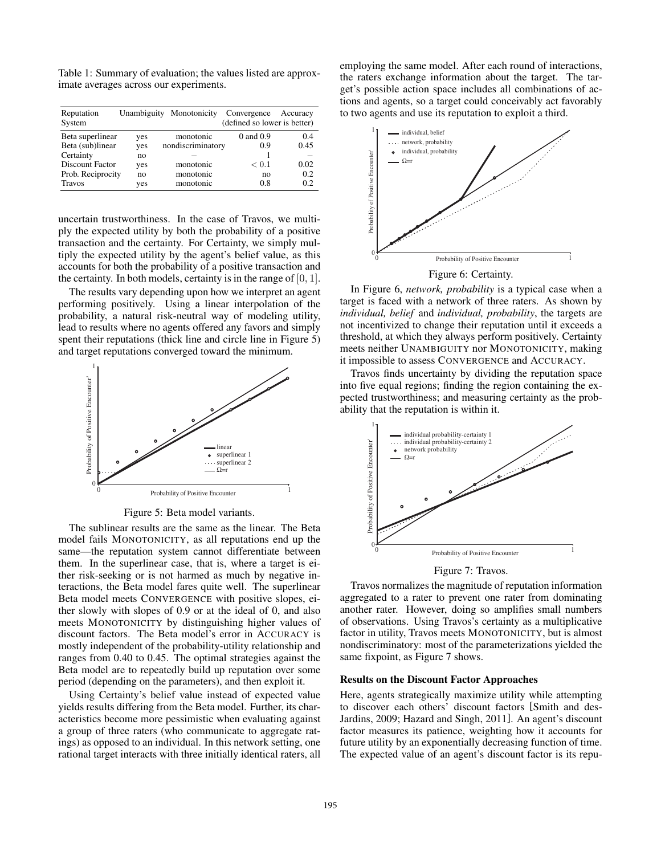Table 1: Summary of evaluation; the values listed are approximate averages across our experiments.

| Reputation<br>System | Unambiguity | Monotonicity      | Convergence<br>(defined so lower is better) | Accuracy |
|----------------------|-------------|-------------------|---------------------------------------------|----------|
| Beta superlinear     | yes         | monotonic         | $0$ and $0.9$                               | 0.4      |
| Beta (sub)linear     | yes         | nondiscriminatory | 0.9                                         | 0.45     |
| Certainty            | no          |                   |                                             |          |
| Discount Factor      | yes         | monotonic         | < 0.1                                       | 0.02     |
| Prob. Reciprocity    | no          | monotonic         | no                                          | 0.2      |
| <b>Travos</b>        | yes         | monotonic         | 0.8                                         | 0.2      |

uncertain trustworthiness. In the case of Travos, we multiply the expected utility by both the probability of a positive transaction and the certainty. For Certainty, we simply multiply the expected utility by the agent's belief value, as this accounts for both the probability of a positive transaction and the certainty. In both models, certainty is in the range of  $[0, 1]$ .

The results vary depending upon how we interpret an agent performing positively. Using a linear interpolation of the probability, a natural risk-neutral way of modeling utility, lead to results where no agents offered any favors and simply spent their reputations (thick line and circle line in Figure 5) and target reputations converged toward the minimum.



Figure 5: Beta model variants.

The sublinear results are the same as the linear. The Beta model fails MONOTONICITY, as all reputations end up the same—the reputation system cannot differentiate between them. In the superlinear case, that is, where a target is either risk-seeking or is not harmed as much by negative interactions, the Beta model fares quite well. The superlinear Beta model meets CONVERGENCE with positive slopes, either slowly with slopes of 0.9 or at the ideal of 0, and also meets MONOTONICITY by distinguishing higher values of discount factors. The Beta model's error in ACCURACY is mostly independent of the probability-utility relationship and ranges from 0.40 to 0.45. The optimal strategies against the Beta model are to repeatedly build up reputation over some period (depending on the parameters), and then exploit it.

Using Certainty's belief value instead of expected value yields results differing from the Beta model. Further, its characteristics become more pessimistic when evaluating against a group of three raters (who communicate to aggregate ratings) as opposed to an individual. In this network setting, one rational target interacts with three initially identical raters, all employing the same model. After each round of interactions, the raters exchange information about the target. The target's possible action space includes all combinations of actions and agents, so a target could conceivably act favorably to two agents and use its reputation to exploit a third.



Figure 6: Certainty.

In Figure 6, *network, probability* is a typical case when a target is faced with a network of three raters. As shown by *individual, belief* and *individual, probability*, the targets are not incentivized to change their reputation until it exceeds a threshold, at which they always perform positively. Certainty meets neither UNAMBIGUITY nor MONOTONICITY, making it impossible to assess CONVERGENCE and ACCURACY.

Travos finds uncertainty by dividing the reputation space into five equal regions; finding the region containing the expected trustworthiness; and measuring certainty as the probability that the reputation is within it.



Figure 7: Travos.

Travos normalizes the magnitude of reputation information aggregated to a rater to prevent one rater from dominating another rater. However, doing so amplifies small numbers of observations. Using Travos's certainty as a multiplicative factor in utility, Travos meets MONOTONICITY, but is almost nondiscriminatory: most of the parameterizations yielded the same fixpoint, as Figure 7 shows.

#### Results on the Discount Factor Approaches

Here, agents strategically maximize utility while attempting to discover each others' discount factors [Smith and des-Jardins, 2009; Hazard and Singh, 2011]. An agent's discount factor measures its patience, weighting how it accounts for future utility by an exponentially decreasing function of time. The expected value of an agent's discount factor is its repu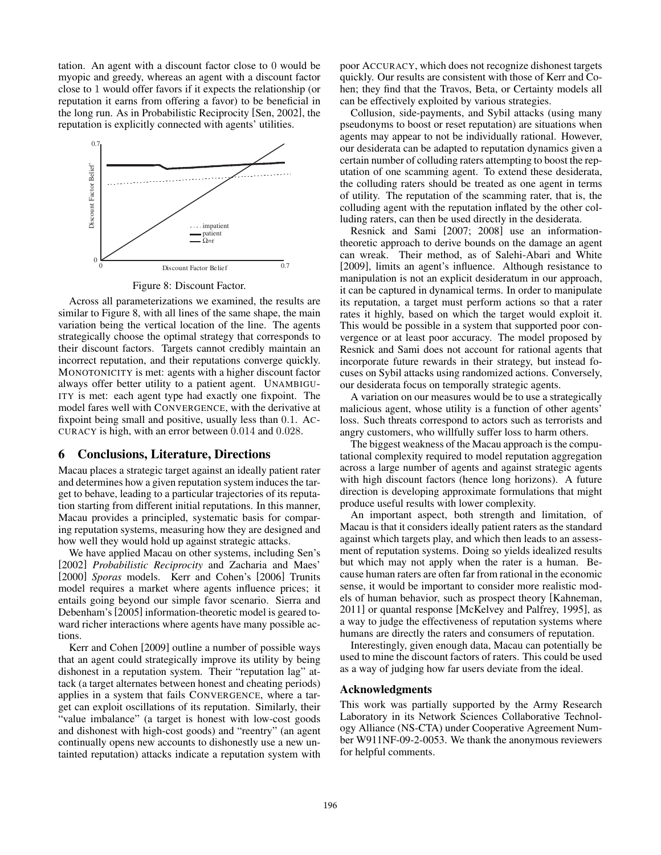tation. An agent with a discount factor close to 0 would be myopic and greedy, whereas an agent with a discount factor close to 1 would offer favors if it expects the relationship (or reputation it earns from offering a favor) to be beneficial in the long run. As in Probabilistic Reciprocity [Sen, 2002], the reputation is explicitly connected with agents' utilities.



Figure 8: Discount Factor.

Across all parameterizations we examined, the results are similar to Figure 8, with all lines of the same shape, the main variation being the vertical location of the line. The agents strategically choose the optimal strategy that corresponds to their discount factors. Targets cannot credibly maintain an incorrect reputation, and their reputations converge quickly. MONOTONICITY is met: agents with a higher discount factor always offer better utility to a patient agent. UNAMBIGU-ITY is met: each agent type had exactly one fixpoint. The model fares well with CONVERGENCE, with the derivative at fixpoint being small and positive, usually less than 0.1. AC-CURACY is high, with an error between 0.014 and 0.028.

## 6 Conclusions, Literature, Directions

Macau places a strategic target against an ideally patient rater and determines how a given reputation system induces the target to behave, leading to a particular trajectories of its reputation starting from different initial reputations. In this manner, Macau provides a principled, systematic basis for comparing reputation systems, measuring how they are designed and how well they would hold up against strategic attacks.

We have applied Macau on other systems, including Sen's [2002] *Probabilistic Reciprocity* and Zacharia and Maes' [2000] *Sporas* models. Kerr and Cohen's [2006] Trunits model requires a market where agents influence prices; it entails going beyond our simple favor scenario. Sierra and Debenham's [2005] information-theoretic model is geared toward richer interactions where agents have many possible actions.

Kerr and Cohen [2009] outline a number of possible ways that an agent could strategically improve its utility by being dishonest in a reputation system. Their "reputation lag" attack (a target alternates between honest and cheating periods) applies in a system that fails CONVERGENCE, where a target can exploit oscillations of its reputation. Similarly, their "value imbalance" (a target is honest with low-cost goods and dishonest with high-cost goods) and "reentry" (an agent continually opens new accounts to dishonestly use a new untainted reputation) attacks indicate a reputation system with poor ACCURACY, which does not recognize dishonest targets quickly. Our results are consistent with those of Kerr and Cohen; they find that the Travos, Beta, or Certainty models all can be effectively exploited by various strategies.

Collusion, side-payments, and Sybil attacks (using many pseudonyms to boost or reset reputation) are situations when agents may appear to not be individually rational. However, our desiderata can be adapted to reputation dynamics given a certain number of colluding raters attempting to boost the reputation of one scamming agent. To extend these desiderata, the colluding raters should be treated as one agent in terms of utility. The reputation of the scamming rater, that is, the colluding agent with the reputation inflated by the other colluding raters, can then be used directly in the desiderata.

Resnick and Sami [2007; 2008] use an informationtheoretic approach to derive bounds on the damage an agent can wreak. Their method, as of Salehi-Abari and White [2009], limits an agent's influence. Although resistance to manipulation is not an explicit desideratum in our approach, it can be captured in dynamical terms. In order to manipulate its reputation, a target must perform actions so that a rater rates it highly, based on which the target would exploit it. This would be possible in a system that supported poor convergence or at least poor accuracy. The model proposed by Resnick and Sami does not account for rational agents that incorporate future rewards in their strategy, but instead focuses on Sybil attacks using randomized actions. Conversely, our desiderata focus on temporally strategic agents.

A variation on our measures would be to use a strategically malicious agent, whose utility is a function of other agents' loss. Such threats correspond to actors such as terrorists and angry customers, who willfully suffer loss to harm others.

The biggest weakness of the Macau approach is the computational complexity required to model reputation aggregation across a large number of agents and against strategic agents with high discount factors (hence long horizons). A future direction is developing approximate formulations that might produce useful results with lower complexity.

An important aspect, both strength and limitation, of Macau is that it considers ideally patient raters as the standard against which targets play, and which then leads to an assessment of reputation systems. Doing so yields idealized results but which may not apply when the rater is a human. Because human raters are often far from rational in the economic sense, it would be important to consider more realistic models of human behavior, such as prospect theory [Kahneman, 2011] or quantal response [McKelvey and Palfrey, 1995], as a way to judge the effectiveness of reputation systems where humans are directly the raters and consumers of reputation.

Interestingly, given enough data, Macau can potentially be used to mine the discount factors of raters. This could be used as a way of judging how far users deviate from the ideal.

#### Acknowledgments

This work was partially supported by the Army Research Laboratory in its Network Sciences Collaborative Technology Alliance (NS-CTA) under Cooperative Agreement Number W911NF-09-2-0053. We thank the anonymous reviewers for helpful comments.